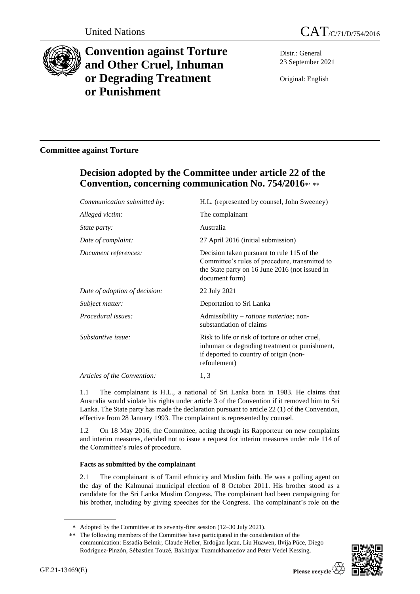



# **Convention against Torture and Other Cruel, Inhuman or Degrading Treatment or Punishment**

Distr.: General 23 September 2021

Original: English

### **Committee against Torture**

## **Decision adopted by the Committee under article 22 of the Convention, concerning communication No. 754/2016** ,

| Communication submitted by:   | H.L. (represented by counsel, John Sweeney)                                                                                                                      |
|-------------------------------|------------------------------------------------------------------------------------------------------------------------------------------------------------------|
| Alleged victim:               | The complainant                                                                                                                                                  |
| <i>State party:</i>           | Australia                                                                                                                                                        |
| Date of complaint:            | 27 April 2016 (initial submission)                                                                                                                               |
| Document references:          | Decision taken pursuant to rule 115 of the<br>Committee's rules of procedure, transmitted to<br>the State party on 16 June 2016 (not issued in<br>document form) |
| Date of adoption of decision: | 22 July 2021                                                                                                                                                     |
| Subject matter:               | Deportation to Sri Lanka                                                                                                                                         |
| Procedural issues:            | Admissibility – ratione materiae; non-<br>substantiation of claims                                                                                               |
| Substantive issue:            | Risk to life or risk of torture or other cruel,<br>inhuman or degrading treatment or punishment,<br>if deported to country of origin (non-<br>refoulement)       |
| Articles of the Convention:   | 1, 3                                                                                                                                                             |

1.1 The complainant is H.L., a national of Sri Lanka born in 1983. He claims that Australia would violate his rights under article 3 of the Convention if it removed him to Sri Lanka. The State party has made the declaration pursuant to article 22 (1) of the Convention, effective from 28 January 1993. The complainant is represented by counsel.

1.2 On 18 May 2016, the Committee, acting through its Rapporteur on new complaints and interim measures, decided not to issue a request for interim measures under rule 114 of the Committee's rules of procedure.

#### **Facts as submitted by the complainant**

2.1 The complainant is of Tamil ethnicity and Muslim faith. He was a polling agent on the day of the Kalmunai municipal election of 8 October 2011. His brother stood as a candidate for the Sri Lanka Muslim Congress. The complainant had been campaigning for his brother, including by giving speeches for the Congress. The complainant's role on the

<sup>\*\*</sup> The following members of the Committee have participated in the consideration of the communication: Essadia Belmir, Claude Heller, Erdoğan İşcan, Liu Huawen, Ilvija Pūce, Diego Rodríguez-Pinzón, Sébastien Touzé, Bakhtiyar Tuzmukhamedov and Peter Vedel Kessing.



Adopted by the Committee at its seventy-first session (12–30 July 2021).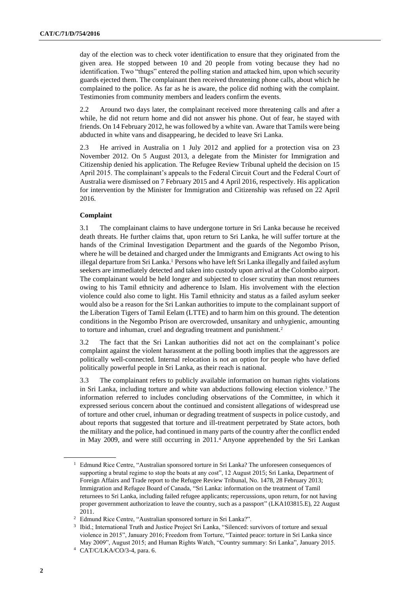day of the election was to check voter identification to ensure that they originated from the given area. He stopped between 10 and 20 people from voting because they had no identification. Two "thugs" entered the polling station and attacked him, upon which security guards ejected them. The complainant then received threatening phone calls, about which he complained to the police. As far as he is aware, the police did nothing with the complaint. Testimonies from community members and leaders confirm the events.

2.2 Around two days later, the complainant received more threatening calls and after a while, he did not return home and did not answer his phone. Out of fear, he stayed with friends. On 14 February 2012, he was followed by a white van. Aware that Tamils were being abducted in white vans and disappearing, he decided to leave Sri Lanka.

2.3 He arrived in Australia on 1 July 2012 and applied for a protection visa on 23 November 2012. On 5 August 2013, a delegate from the Minister for Immigration and Citizenship denied his application. The Refugee Review Tribunal upheld the decision on 15 April 2015. The complainant's appeals to the Federal Circuit Court and the Federal Court of Australia were dismissed on 7 February 2015 and 4 April 2016, respectively. His application for intervention by the Minister for Immigration and Citizenship was refused on 22 April 2016.

#### **Complaint**

3.1 The complainant claims to have undergone torture in Sri Lanka because he received death threats. He further claims that, upon return to Sri Lanka, he will suffer torture at the hands of the Criminal Investigation Department and the guards of the Negombo Prison, where he will be detained and charged under the Immigrants and Emigrants Act owing to his illegal departure from Sri Lanka.<sup>1</sup> Persons who have left Sri Lanka illegally and failed asylum seekers are immediately detected and taken into custody upon arrival at the Colombo airport. The complainant would be held longer and subjected to closer scrutiny than most returnees owing to his Tamil ethnicity and adherence to Islam. His involvement with the election violence could also come to light. His Tamil ethnicity and status as a failed asylum seeker would also be a reason for the Sri Lankan authorities to impute to the complainant support of the Liberation Tigers of Tamil Eelam (LTTE) and to harm him on this ground. The detention conditions in the Negombo Prison are overcrowded, unsanitary and unhygienic, amounting to torture and inhuman, cruel and degrading treatment and punishment.<sup>2</sup>

3.2 The fact that the Sri Lankan authorities did not act on the complainant's police complaint against the violent harassment at the polling booth implies that the aggressors are politically well-connected. Internal relocation is not an option for people who have defied politically powerful people in Sri Lanka, as their reach is national.

3.3 The complainant refers to publicly available information on human rights violations in Sri Lanka, including torture and white van abductions following election violence.<sup>3</sup> The information referred to includes concluding observations of the Committee, in which it expressed serious concern about the continued and consistent allegations of widespread use of torture and other cruel, inhuman or degrading treatment of suspects in police custody, and about reports that suggested that torture and ill-treatment perpetrated by State actors, both the military and the police, had continued in many parts of the country after the conflict ended in May 2009, and were still occurring in 2011.<sup>4</sup> Anyone apprehended by the Sri Lankan

<sup>&</sup>lt;sup>1</sup> Edmund Rice Centre, "Australian sponsored torture in Sri Lanka? The unforeseen consequences of supporting a brutal regime to stop the boats at any cost", 12 August 2015; Sri Lanka, Department of Foreign Affairs and Trade report to the Refugee Review Tribunal, No. 1478, 28 February 2013; Immigration and Refugee Board of Canada, "Sri Lanka: information on the treatment of Tamil returnees to Sri Lanka, including failed refugee applicants; repercussions, upon return, for not having proper government authorization to leave the country, such as a passport" (LKA103815.E), 22 August 2011.

<sup>2</sup> Edmund Rice Centre, "Australian sponsored torture in Sri Lanka?".

<sup>3</sup> Ibid.; International Truth and Justice Project Sri Lanka, "Silenced: survivors of torture and sexual violence in 2015", January 2016; Freedom from Torture, "Tainted peace: torture in Sri Lanka since May 2009", August 2015; and Human Rights Watch, "Country summary: Sri Lanka", January 2015.

<sup>4</sup> CAT/C/LKA/CO/3-4, para. 6.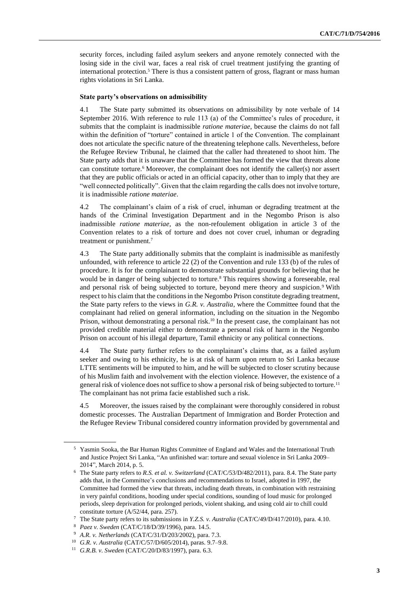security forces, including failed asylum seekers and anyone remotely connected with the losing side in the civil war, faces a real risk of cruel treatment justifying the granting of international protection.<sup>5</sup> There is thus a consistent pattern of gross, flagrant or mass human rights violations in Sri Lanka.

#### **State party's observations on admissibility**

4.1 The State party submitted its observations on admissibility by note verbale of 14 September 2016. With reference to rule 113 (a) of the Committee's rules of procedure, it submits that the complaint is inadmissible *ratione materiae*, because the claims do not fall within the definition of "torture" contained in article 1 of the Convention. The complainant does not articulate the specific nature of the threatening telephone calls. Nevertheless, before the Refugee Review Tribunal, he claimed that the caller had threatened to shoot him. The State party adds that it is unaware that the Committee has formed the view that threats alone can constitute torture.<sup>6</sup> Moreover, the complainant does not identify the caller(s) nor assert that they are public officials or acted in an official capacity, other than to imply that they are "well connected politically". Given that the claim regarding the calls does not involve torture, it is inadmissible *ratione materiae*.

4.2 The complainant's claim of a risk of cruel, inhuman or degrading treatment at the hands of the Criminal Investigation Department and in the Negombo Prison is also inadmissible *ratione materiae*, as the non-refoulement obligation in article 3 of the Convention relates to a risk of torture and does not cover cruel, inhuman or degrading treatment or punishment.<sup>7</sup>

4.3 The State party additionally submits that the complaint is inadmissible as manifestly unfounded, with reference to article 22 (2) of the Convention and rule 133 (b) of the rules of procedure. It is for the complainant to demonstrate substantial grounds for believing that he would be in danger of being subjected to torture.<sup>8</sup> This requires showing a foreseeable, real and personal risk of being subjected to torture, beyond mere theory and suspicion.<sup>9</sup> With respect to his claim that the conditions in the Negombo Prison constitute degrading treatment, the State party refers to the views in *G.R. v. Australia*, where the Committee found that the complainant had relied on general information, including on the situation in the Negombo Prison, without demonstrating a personal risk.<sup>10</sup> In the present case, the complainant has not provided credible material either to demonstrate a personal risk of harm in the Negombo Prison on account of his illegal departure, Tamil ethnicity or any political connections.

4.4 The State party further refers to the complainant's claims that, as a failed asylum seeker and owing to his ethnicity, he is at risk of harm upon return to Sri Lanka because LTTE sentiments will be imputed to him, and he will be subjected to closer scrutiny because of his Muslim faith and involvement with the election violence. However, the existence of a general risk of violence does not suffice to show a personal risk of being subjected to torture.<sup>11</sup> The complainant has not prima facie established such a risk.

4.5 Moreover, the issues raised by the complainant were thoroughly considered in robust domestic processes. The Australian Department of Immigration and Border Protection and the Refugee Review Tribunal considered country information provided by governmental and

<sup>5</sup> Yasmin Sooka, the Bar Human Rights Committee of England and Wales and the International Truth and Justice Project Sri Lanka, "An unfinished war: torture and sexual violence in Sri Lanka 2009– 2014", March 2014, p. 5.

<sup>6</sup> The State party refers to *R.S. et al. v. Switzerland* (CAT/C/53/D/482/2011), para. 8.4. The State party adds that, in the Committee's conclusions and recommendations to Israel, adopted in 1997, the Committee had formed the view that threats, including death threats, in combination with restraining in very painful conditions, hooding under special conditions, sounding of loud music for prolonged periods, sleep deprivation for prolonged periods, violent shaking, and using cold air to chill could constitute torture (A/52/44, para. 257).

<sup>7</sup> The State party refers to its submissions in *Y.Z.S. v. Australia* (CAT/C/49/D/417/2010), para. 4.10.

<sup>8</sup> *Paez v. Sweden* (CAT/C/18/D/39/1996), para. 14.5.

<sup>9</sup> *A.R. v. Netherlands* (CAT/C/31/D/203/2002), para. 7.3.

<sup>10</sup> *G.R. v. Australia* (CAT/C/57/D/605/2014), paras. 9.7–9.8.

<sup>11</sup> *G.R.B. v. Sweden* (CAT/C/20/D/83/1997), para. 6.3.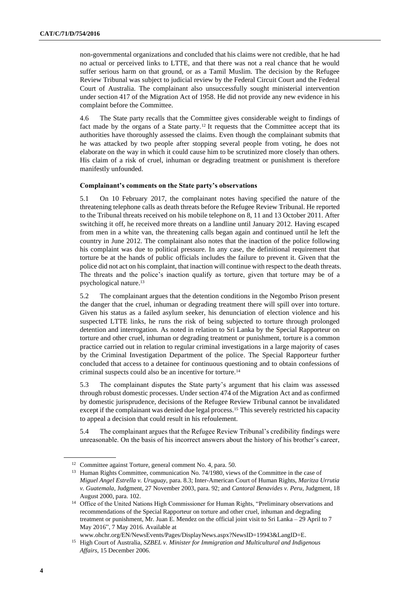non-governmental organizations and concluded that his claims were not credible, that he had no actual or perceived links to LTTE, and that there was not a real chance that he would suffer serious harm on that ground, or as a Tamil Muslim. The decision by the Refugee Review Tribunal was subject to judicial review by the Federal Circuit Court and the Federal Court of Australia. The complainant also unsuccessfully sought ministerial intervention under section 417 of the Migration Act of 1958. He did not provide any new evidence in his complaint before the Committee.

4.6 The State party recalls that the Committee gives considerable weight to findings of fact made by the organs of a State party.<sup>12</sup> It requests that the Committee accept that its authorities have thoroughly assessed the claims. Even though the complainant submits that he was attacked by two people after stopping several people from voting, he does not elaborate on the way in which it could cause him to be scrutinized more closely than others. His claim of a risk of cruel, inhuman or degrading treatment or punishment is therefore manifestly unfounded.

#### **Complainant's comments on the State party's observations**

5.1 On 10 February 2017, the complainant notes having specified the nature of the threatening telephone calls as death threats before the Refugee Review Tribunal. He reported to the Tribunal threats received on his mobile telephone on 8, 11 and 13 October 2011. After switching it off, he received more threats on a landline until January 2012. Having escaped from men in a white van, the threatening calls began again and continued until he left the country in June 2012. The complainant also notes that the inaction of the police following his complaint was due to political pressure. In any case, the definitional requirement that torture be at the hands of public officials includes the failure to prevent it. Given that the police did not act on his complaint, that inaction will continue with respect to the death threats. The threats and the police's inaction qualify as torture, given that torture may be of a psychological nature.<sup>13</sup>

5.2 The complainant argues that the detention conditions in the Negombo Prison present the danger that the cruel, inhuman or degrading treatment there will spill over into torture. Given his status as a failed asylum seeker, his denunciation of election violence and his suspected LTTE links, he runs the risk of being subjected to torture through prolonged detention and interrogation. As noted in relation to Sri Lanka by the Special Rapporteur on torture and other cruel, inhuman or degrading treatment or punishment, torture is a common practice carried out in relation to regular criminal investigations in a large majority of cases by the Criminal Investigation Department of the police. The Special Rapporteur further concluded that access to a detainee for continuous questioning and to obtain confessions of criminal suspects could also be an incentive for torture.<sup>14</sup>

5.3 The complainant disputes the State party's argument that his claim was assessed through robust domestic processes. Under section 474 of the Migration Act and as confirmed by domestic jurisprudence, decisions of the Refugee Review Tribunal cannot be invalidated except if the complainant was denied due legal process.<sup>15</sup> This severely restricted his capacity to appeal a decision that could result in his refoulement.

5.4 The complainant argues that the Refugee Review Tribunal's credibility findings were unreasonable. On the basis of his incorrect answers about the history of his brother's career,

<sup>&</sup>lt;sup>12</sup> Committee against Torture, general comment No. 4, para. 50.

<sup>&</sup>lt;sup>13</sup> Human Rights Committee, communication No. 74/1980, views of the Committee in the case of *Miguel Angel Estrella v. Uruguay*, para. 8.3; Inter-American Court of Human Rights, *Maritza Urrutia v. Guatemala*, Judgment, 27 November 2003, para. 92; and *Cantoral Benavides v. Peru*, Judgment, 18 August 2000, para. 102.

<sup>&</sup>lt;sup>14</sup> Office of the United Nations High Commissioner for Human Rights, "Preliminary observations and recommendations of the Special Rapporteur on torture and other cruel, inhuman and degrading treatment or punishment, Mr. Juan E. Mendez on the official joint visit to Sri Lanka – 29 April to 7 May 2016", 7 May 2016. Available at

www.ohchr.org/EN/NewsEvents/Pages/DisplayNews.aspx?NewsID=19943&LangID=E. <sup>15</sup> High Court of Australia, *SZBEL v. Minister for Immigration and Multicultural and Indigenous Affairs*, 15 December 2006.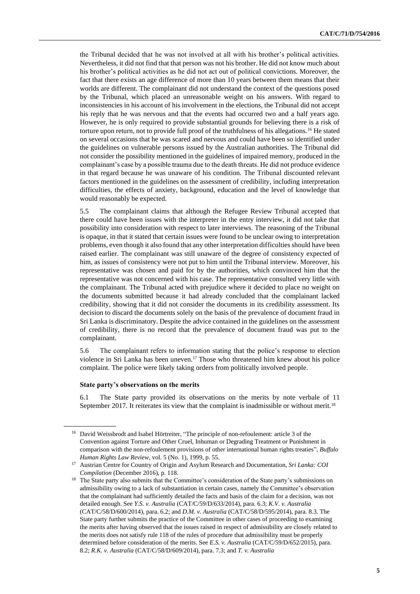the Tribunal decided that he was not involved at all with his brother's political activities. Nevertheless, it did not find that that person was not his brother. He did not know much about his brother's political activities as he did not act out of political convictions. Moreover, the fact that there exists an age difference of more than 10 years between them means that their worlds are different. The complainant did not understand the context of the questions posed by the Tribunal, which placed an unreasonable weight on his answers. With regard to inconsistencies in his account of his involvement in the elections, the Tribunal did not accept his reply that he was nervous and that the events had occurred two and a half years ago. However, he is only required to provide substantial grounds for believing there is a risk of torture upon return, not to provide full proof of the truthfulness of his allegations.<sup>16</sup> He stated on several occasions that he was scared and nervous and could have been so identified under the guidelines on vulnerable persons issued by the Australian authorities. The Tribunal did not consider the possibility mentioned in the guidelines of impaired memory, produced in the complainant's case by a possible trauma due to the death threats. He did not produce evidence in that regard because he was unaware of his condition. The Tribunal discounted relevant factors mentioned in the guidelines on the assessment of credibility, including interpretation difficulties, the effects of anxiety, background, education and the level of knowledge that would reasonably be expected.

5.5 The complainant claims that although the Refugee Review Tribunal accepted that there could have been issues with the interpreter in the entry interview, it did not take that possibility into consideration with respect to later interviews. The reasoning of the Tribunal is opaque, in that it stated that certain issues were found to be unclear owing to interpretation problems, even though it also found that any other interpretation difficulties should have been raised earlier. The complainant was still unaware of the degree of consistency expected of him, as issues of consistency were not put to him until the Tribunal interview. Moreover, his representative was chosen and paid for by the authorities, which convinced him that the representative was not concerned with his case. The representative consulted very little with the complainant. The Tribunal acted with prejudice where it decided to place no weight on the documents submitted because it had already concluded that the complainant lacked credibility, showing that it did not consider the documents in its credibility assessment. Its decision to discard the documents solely on the basis of the prevalence of document fraud in Sri Lanka is discriminatory. Despite the advice contained in the guidelines on the assessment of credibility, there is no record that the prevalence of document fraud was put to the complainant.

5.6 The complainant refers to information stating that the police's response to election violence in Sri Lanka has been uneven.<sup>17</sup> Those who threatened him knew about his police complaint. The police were likely taking orders from politically involved people.

#### **State party's observations on the merits**

6.1 The State party provided its observations on the merits by note verbale of 11 September 2017. It reiterates its view that the complaint is inadmissible or without merit.<sup>18</sup>

<sup>&</sup>lt;sup>16</sup> David Weissbrodt and Isabel Hörtreiter, "The principle of non-refoulement: article 3 of the Convention against Torture and Other Cruel, Inhuman or Degrading Treatment or Punishment in comparison with the non-refoulement provisions of other international human rights treaties", *Buffalo Human Rights Law Review*, vol. 5 (No. 1), 1999, p. 55.

<sup>17</sup> Austrian Centre for Country of Origin and Asylum Research and Documentation, *Sri Lanka: COI Compilation* (December 2016), p. 118.

<sup>&</sup>lt;sup>18</sup> The State party also submits that the Committee's consideration of the State party's submissions on admissibility owing to a lack of substantiation in certain cases, namely the Committee's observation that the complainant had sufficiently detailed the facts and basis of the claim for a decision, was not detailed enough. See *Y.S. v. Australia* (CAT/C/59/D/633/2014), para. 6.3; *K.V. v. Australia* (CAT/C/58/D/600/2014), para. 6.2; and *D.M. v. Australia* (CAT/C/58/D/595/2014), para. 8.3. The State party further submits the practice of the Committee in other cases of proceeding to examining the merits after having observed that the issues raised in respect of admissibility are closely related to the merits does not satisfy rule 118 of the rules of procedure that admissibility must be properly determined before consideration of the merits. See *E.S. v. Australia* (CAT/C/59/D/652/2015), para. 8.2; *R.K. v. Australia* (CAT/C/58/D/609/2014), para. 7.3; and *T. v. Australia*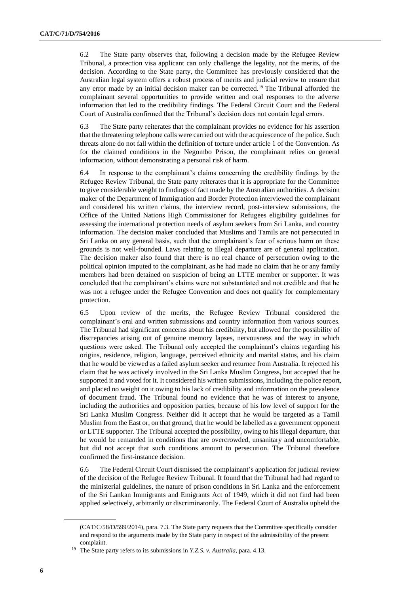6.2 The State party observes that, following a decision made by the Refugee Review Tribunal, a protection visa applicant can only challenge the legality, not the merits, of the decision. According to the State party, the Committee has previously considered that the Australian legal system offers a robust process of merits and judicial review to ensure that any error made by an initial decision maker can be corrected.<sup>19</sup> The Tribunal afforded the complainant several opportunities to provide written and oral responses to the adverse information that led to the credibility findings. The Federal Circuit Court and the Federal Court of Australia confirmed that the Tribunal's decision does not contain legal errors.

6.3 The State party reiterates that the complainant provides no evidence for his assertion that the threatening telephone calls were carried out with the acquiescence of the police. Such threats alone do not fall within the definition of torture under article 1 of the Convention. As for the claimed conditions in the Negombo Prison, the complainant relies on general information, without demonstrating a personal risk of harm.

6.4 In response to the complainant's claims concerning the credibility findings by the Refugee Review Tribunal, the State party reiterates that it is appropriate for the Committee to give considerable weight to findings of fact made by the Australian authorities. A decision maker of the Department of Immigration and Border Protection interviewed the complainant and considered his written claims, the interview record, post-interview submissions, the Office of the United Nations High Commissioner for Refugees eligibility guidelines for assessing the international protection needs of asylum seekers from Sri Lanka, and country information. The decision maker concluded that Muslims and Tamils are not persecuted in Sri Lanka on any general basis, such that the complainant's fear of serious harm on these grounds is not well-founded. Laws relating to illegal departure are of general application. The decision maker also found that there is no real chance of persecution owing to the political opinion imputed to the complainant, as he had made no claim that he or any family members had been detained on suspicion of being an LTTE member or supporter. It was concluded that the complainant's claims were not substantiated and not credible and that he was not a refugee under the Refugee Convention and does not qualify for complementary protection.

6.5 Upon review of the merits, the Refugee Review Tribunal considered the complainant's oral and written submissions and country information from various sources. The Tribunal had significant concerns about his credibility, but allowed for the possibility of discrepancies arising out of genuine memory lapses, nervousness and the way in which questions were asked. The Tribunal only accepted the complainant's claims regarding his origins, residence, religion, language, perceived ethnicity and marital status, and his claim that he would be viewed as a failed asylum seeker and returnee from Australia. It rejected his claim that he was actively involved in the Sri Lanka Muslim Congress, but accepted that he supported it and voted for it. It considered his written submissions, including the police report, and placed no weight on it owing to his lack of credibility and information on the prevalence of document fraud. The Tribunal found no evidence that he was of interest to anyone, including the authorities and opposition parties, because of his low level of support for the Sri Lanka Muslim Congress. Neither did it accept that he would be targeted as a Tamil Muslim from the East or, on that ground, that he would be labelled as a government opponent or LTTE supporter. The Tribunal accepted the possibility, owing to his illegal departure, that he would be remanded in conditions that are overcrowded, unsanitary and uncomfortable, but did not accept that such conditions amount to persecution. The Tribunal therefore confirmed the first-instance decision.

6.6 The Federal Circuit Court dismissed the complainant's application for judicial review of the decision of the Refugee Review Tribunal. It found that the Tribunal had had regard to the ministerial guidelines, the nature of prison conditions in Sri Lanka and the enforcement of the Sri Lankan Immigrants and Emigrants Act of 1949, which it did not find had been applied selectively, arbitrarily or discriminatorily. The Federal Court of Australia upheld the

<sup>(</sup>CAT/C/58/D/599/2014), para. 7.3. The State party requests that the Committee specifically consider and respond to the arguments made by the State party in respect of the admissibility of the present complaint.

<sup>19</sup> The State party refers to its submissions in *Y.Z.S. v. Australia*, para. 4.13.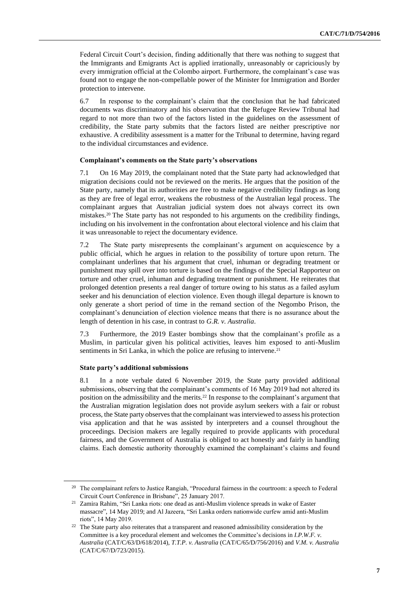Federal Circuit Court's decision, finding additionally that there was nothing to suggest that the Immigrants and Emigrants Act is applied irrationally, unreasonably or capriciously by every immigration official at the Colombo airport. Furthermore, the complainant's case was found not to engage the non-compellable power of the Minister for Immigration and Border protection to intervene.

6.7 In response to the complainant's claim that the conclusion that he had fabricated documents was discriminatory and his observation that the Refugee Review Tribunal had regard to not more than two of the factors listed in the guidelines on the assessment of credibility, the State party submits that the factors listed are neither prescriptive nor exhaustive. A credibility assessment is a matter for the Tribunal to determine, having regard to the individual circumstances and evidence.

#### **Complainant's comments on the State party's observations**

7.1 On 16 May 2019, the complainant noted that the State party had acknowledged that migration decisions could not be reviewed on the merits. He argues that the position of the State party, namely that its authorities are free to make negative credibility findings as long as they are free of legal error, weakens the robustness of the Australian legal process. The complainant argues that Australian judicial system does not always correct its own mistakes.<sup>20</sup> The State party has not responded to his arguments on the credibility findings, including on his involvement in the confrontation about electoral violence and his claim that it was unreasonable to reject the documentary evidence.

7.2 The State party misrepresents the complainant's argument on acquiescence by a public official, which he argues in relation to the possibility of torture upon return. The complainant underlines that his argument that cruel, inhuman or degrading treatment or punishment may spill over into torture is based on the findings of the Special Rapporteur on torture and other cruel, inhuman and degrading treatment or punishment. He reiterates that prolonged detention presents a real danger of torture owing to his status as a failed asylum seeker and his denunciation of election violence. Even though illegal departure is known to only generate a short period of time in the remand section of the Negombo Prison, the complainant's denunciation of election violence means that there is no assurance about the length of detention in his case, in contrast to *G.R. v. Australia*.

7.3 Furthermore, the 2019 Easter bombings show that the complainant's profile as a Muslim, in particular given his political activities, leaves him exposed to anti-Muslim sentiments in Sri Lanka, in which the police are refusing to intervene.<sup>21</sup>

#### **State party's additional submissions**

8.1 In a note verbale dated 6 November 2019, the State party provided additional submissions, observing that the complainant's comments of 16 May 2019 had not altered its position on the admissibility and the merits.<sup>22</sup> In response to the complainant's argument that the Australian migration legislation does not provide asylum seekers with a fair or robust process, the State party observes that the complainant was interviewed to assess his protection visa application and that he was assisted by interpreters and a counsel throughout the proceedings. Decision makers are legally required to provide applicants with procedural fairness, and the Government of Australia is obliged to act honestly and fairly in handling claims. Each domestic authority thoroughly examined the complainant's claims and found

<sup>&</sup>lt;sup>20</sup> The complainant refers to Justice Rangiah, "Procedural fairness in the courtroom: a speech to Federal Circuit Court Conference in Brisbane", 25 January 2017.

<sup>21</sup> Zamira Rahim, "Sri Lanka riots: one dead as anti-Muslim violence spreads in wake of Easter massacre", 14 May 2019; and Al Jazeera, "Sri Lanka orders nationwide curfew amid anti-Muslim riots", 14 May 2019.

<sup>&</sup>lt;sup>22</sup> The State party also reiterates that a transparent and reasoned admissibility consideration by the Committee is a key procedural element and welcomes the Committee's decisions in *I.P.W.F. v. Australia* (CAT/C/63/D/618/2014), *T.T.P. v. Australia* (CAT/C/65/D/756/2016) and *V.M. v. Australia*  (CAT/C/67/D/723/2015).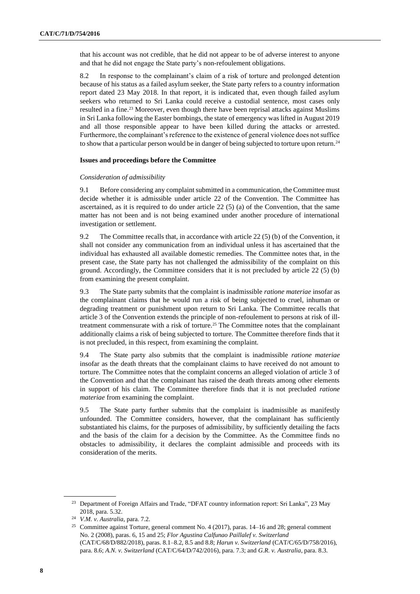that his account was not credible, that he did not appear to be of adverse interest to anyone and that he did not engage the State party's non-refoulement obligations.

8.2 In response to the complainant's claim of a risk of torture and prolonged detention because of his status as a failed asylum seeker, the State party refers to a country information report dated 23 May 2018. In that report, it is indicated that, even though failed asylum seekers who returned to Sri Lanka could receive a custodial sentence, most cases only resulted in a fine.<sup>23</sup> Moreover, even though there have been reprisal attacks against Muslims in Sri Lanka following the Easter bombings, the state of emergency was lifted in August 2019 and all those responsible appear to have been killed during the attacks or arrested. Furthermore, the complainant's reference to the existence of general violence does not suffice to show that a particular person would be in danger of being subjected to torture upon return.<sup>24</sup>

#### **Issues and proceedings before the Committee**

#### *Consideration of admissibility*

9.1 Before considering any complaint submitted in a communication, the Committee must decide whether it is admissible under article 22 of the Convention. The Committee has ascertained, as it is required to do under article 22 (5) (a) of the Convention, that the same matter has not been and is not being examined under another procedure of international investigation or settlement.

9.2 The Committee recalls that, in accordance with article 22 (5) (b) of the Convention, it shall not consider any communication from an individual unless it has ascertained that the individual has exhausted all available domestic remedies. The Committee notes that, in the present case, the State party has not challenged the admissibility of the complaint on this ground. Accordingly, the Committee considers that it is not precluded by article 22 (5) (b) from examining the present complaint.

9.3 The State party submits that the complaint is inadmissible *ratione materiae* insofar as the complainant claims that he would run a risk of being subjected to cruel, inhuman or degrading treatment or punishment upon return to Sri Lanka. The Committee recalls that article 3 of the Convention extends the principle of non-refoulement to persons at risk of illtreatment commensurate with a risk of torture.<sup>25</sup> The Committee notes that the complainant additionally claims a risk of being subjected to torture. The Committee therefore finds that it is not precluded, in this respect, from examining the complaint.

9.4 The State party also submits that the complaint is inadmissible *ratione materiae*  insofar as the death threats that the complainant claims to have received do not amount to torture. The Committee notes that the complaint concerns an alleged violation of article 3 of the Convention and that the complainant has raised the death threats among other elements in support of his claim. The Committee therefore finds that it is not precluded *ratione materiae* from examining the complaint.

9.5 The State party further submits that the complaint is inadmissible as manifestly unfounded. The Committee considers, however, that the complainant has sufficiently substantiated his claims, for the purposes of admissibility, by sufficiently detailing the facts and the basis of the claim for a decision by the Committee. As the Committee finds no obstacles to admissibility, it declares the complaint admissible and proceeds with its consideration of the merits.

<sup>&</sup>lt;sup>23</sup> Department of Foreign Affairs and Trade, "DFAT country information report: Sri Lanka", 23 May 2018, para. 5.32.

<sup>24</sup> *V.M. v. Australia*, para. 7.2.

<sup>25</sup> Committee against Torture, general comment No. 4 (2017), paras. 14–16 and 28; general comment No. 2 (2008), paras. 6, 15 and 25; *Flor Agustina Calfunao Paillalef v. Switzerland* (CAT/C/68/D/882/2018), paras. 8.1–8.2, 8.5 and 8.8; *Harun v. Switzerland* (CAT/C/65/D/758/2016), para. 8.6; *A.N. v. Switzerland* (CAT/C/64/D/742/2016), para. 7.3; and *G.R. v. Australia*, para. 8.3.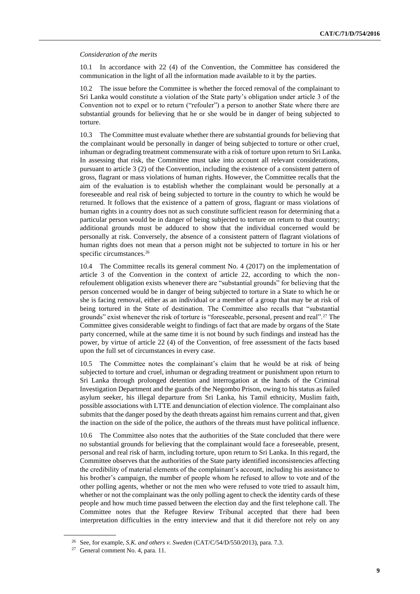#### *Consideration of the merits*

10.1 In accordance with 22 (4) of the Convention, the Committee has considered the communication in the light of all the information made available to it by the parties.

10.2 The issue before the Committee is whether the forced removal of the complainant to Sri Lanka would constitute a violation of the State party's obligation under article 3 of the Convention not to expel or to return ("refouler") a person to another State where there are substantial grounds for believing that he or she would be in danger of being subjected to torture.

10.3 The Committee must evaluate whether there are substantial grounds for believing that the complainant would be personally in danger of being subjected to torture or other cruel, inhuman or degrading treatment commensurate with a risk of torture upon return to Sri Lanka. In assessing that risk, the Committee must take into account all relevant considerations, pursuant to article 3 (2) of the Convention, including the existence of a consistent pattern of gross, flagrant or mass violations of human rights. However, the Committee recalls that the aim of the evaluation is to establish whether the complainant would be personally at a foreseeable and real risk of being subjected to torture in the country to which he would be returned. It follows that the existence of a pattern of gross, flagrant or mass violations of human rights in a country does not as such constitute sufficient reason for determining that a particular person would be in danger of being subjected to torture on return to that country; additional grounds must be adduced to show that the individual concerned would be personally at risk. Conversely, the absence of a consistent pattern of flagrant violations of human rights does not mean that a person might not be subjected to torture in his or her specific circumstances.<sup>26</sup>

10.4 The Committee recalls its general comment No. 4 (2017) on the implementation of article 3 of the Convention in the context of article 22, according to which the nonrefoulement obligation exists whenever there are "substantial grounds" for believing that the person concerned would be in danger of being subjected to torture in a State to which he or she is facing removal, either as an individual or a member of a group that may be at risk of being tortured in the State of destination. The Committee also recalls that "substantial grounds" exist whenever the risk of torture is "foreseeable, personal, present and real".<sup>27</sup> The Committee gives considerable weight to findings of fact that are made by organs of the State party concerned, while at the same time it is not bound by such findings and instead has the power, by virtue of article 22 (4) of the Convention, of free assessment of the facts based upon the full set of circumstances in every case.

10.5 The Committee notes the complainant's claim that he would be at risk of being subjected to torture and cruel, inhuman or degrading treatment or punishment upon return to Sri Lanka through prolonged detention and interrogation at the hands of the Criminal Investigation Department and the guards of the Negombo Prison, owing to his status as failed asylum seeker, his illegal departure from Sri Lanka, his Tamil ethnicity, Muslim faith, possible associations with LTTE and denunciation of election violence. The complainant also submits that the danger posed by the death threats against him remains current and that, given the inaction on the side of the police, the authors of the threats must have political influence.

10.6 The Committee also notes that the authorities of the State concluded that there were no substantial grounds for believing that the complainant would face a foreseeable, present, personal and real risk of harm, including torture, upon return to Sri Lanka. In this regard, the Committee observes that the authorities of the State party identified inconsistencies affecting the credibility of material elements of the complainant's account, including his assistance to his brother's campaign, the number of people whom he refused to allow to vote and of the other polling agents, whether or not the men who were refused to vote tried to assault him, whether or not the complainant was the only polling agent to check the identity cards of these people and how much time passed between the election day and the first telephone call. The Committee notes that the Refugee Review Tribunal accepted that there had been interpretation difficulties in the entry interview and that it did therefore not rely on any

<sup>26</sup> See, for example, *S.K. and others v. Sweden* (CAT/C/54/D/550/2013), para. 7.3.

<sup>27</sup> General comment No. 4, para. 11.